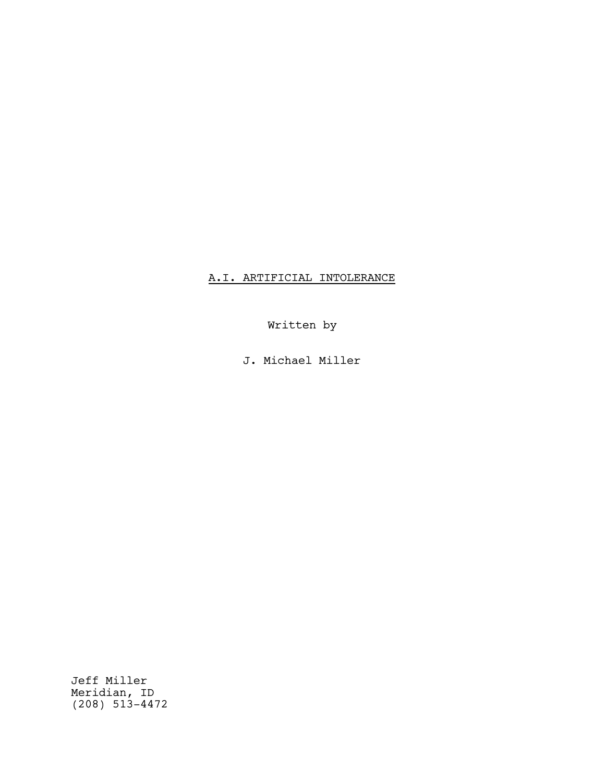## A.I. ARTIFICIAL INTOLERANCE

Written by

J. Michael Miller

Jeff Miller Meridian, ID (208) 513-4472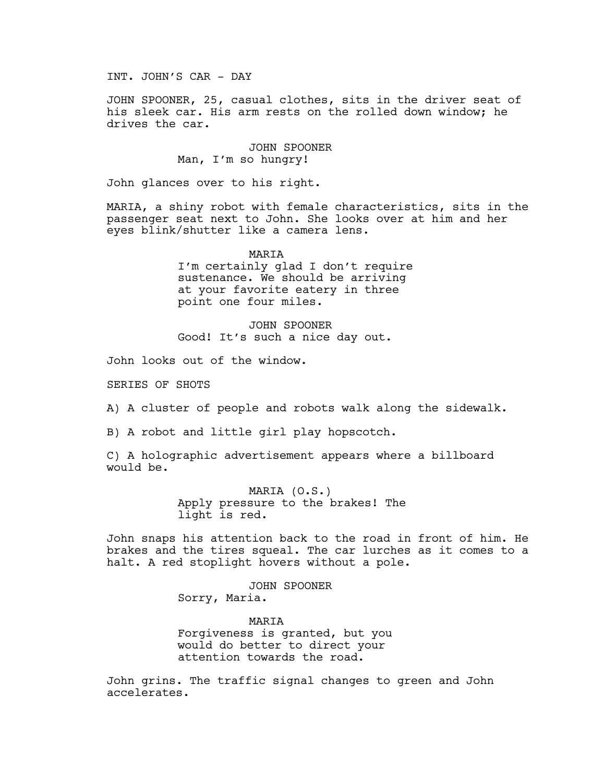INT. JOHN'S CAR - DAY

JOHN SPOONER, 25, casual clothes, sits in the driver seat of his sleek car. His arm rests on the rolled down window; he drives the car.

> JOHN SPOONER Man, I'm so hungry!

John glances over to his right.

MARIA, a shiny robot with female characteristics, sits in the passenger seat next to John. She looks over at him and her eyes blink/shutter like a camera lens.

> MARIA I'm certainly glad I don't require sustenance. We should be arriving at your favorite eatery in three point one four miles.

JOHN SPOONER Good! It's such a nice day out.

John looks out of the window.

SERIES OF SHOTS

A) A cluster of people and robots walk along the sidewalk.

B) A robot and little girl play hopscotch.

C) A holographic advertisement appears where a billboard would be.

> MARIA (O.S.) Apply pressure to the brakes! The light is red.

John snaps his attention back to the road in front of him. He brakes and the tires squeal. The car lurches as it comes to a halt. A red stoplight hovers without a pole.

> JOHN SPOONER Sorry, Maria.

MARIA Forgiveness is granted, but you would do better to direct your attention towards the road.

John grins. The traffic signal changes to green and John accelerates.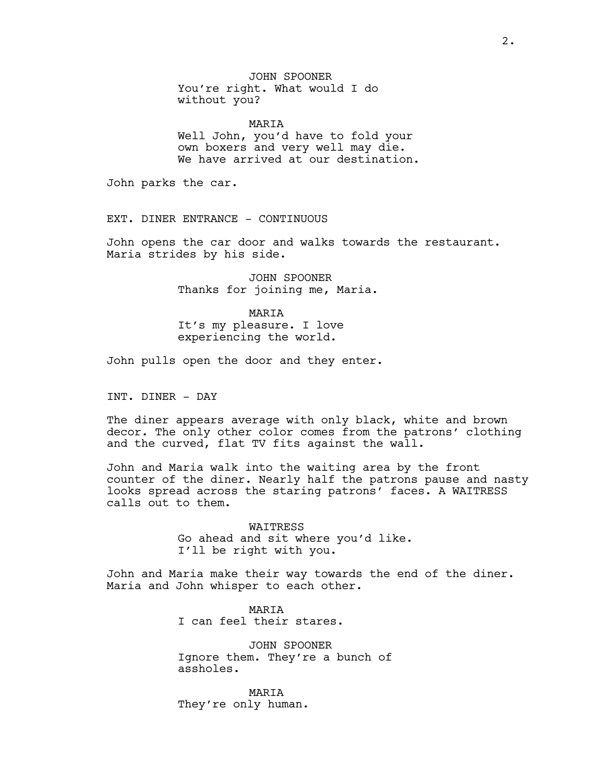JOHN SPOONER You're right. What would I do without you?

MARIA Well John, you'd have to fold your own boxers and very well may die. We have arrived at our destination.

John parks the car.

EXT. DINER ENTRANCE - CONTINUOUS

John opens the car door and walks towards the restaurant. Maria strides by his side.

> JOHN SPOONER Thanks for joining me, Maria.

MARIA It's my pleasure. I love experiencing the world.

John pulls open the door and they enter.

INT. DINER - DAY

The diner appears average with only black, white and brown decor. The only other color comes from the patrons' clothing and the curved, flat TV fits against the wall.

John and Maria walk into the waiting area by the front counter of the diner. Nearly half the patrons pause and nasty looks spread across the staring patrons' faces. A WAITRESS calls out to them.

> WAITRESS Go ahead and sit where you'd like. I'll be right with you.

John and Maria make their way towards the end of the diner. Maria and John whisper to each other.

> MARIA I can feel their stares.

JOHN SPOONER Ignore them. They're a bunch of assholes.

MARIA They're only human.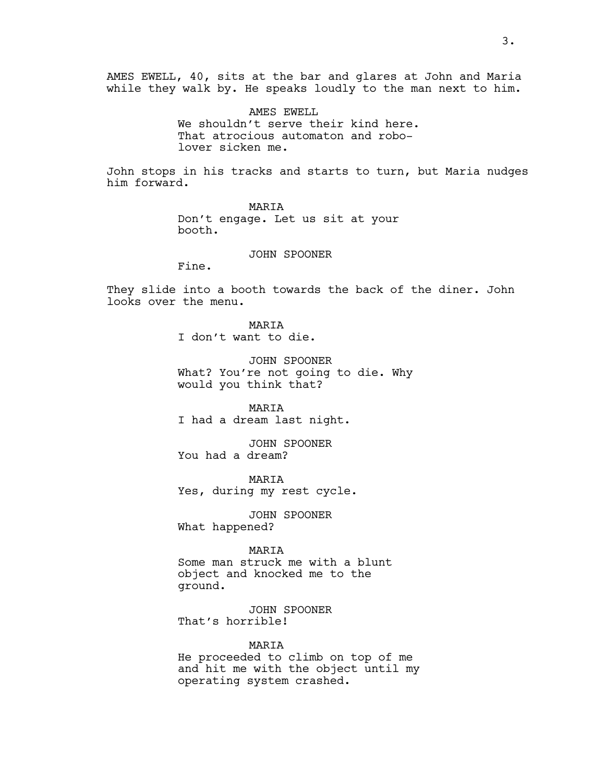AMES EWELL, 40, sits at the bar and glares at John and Maria while they walk by. He speaks loudly to the man next to him.

> AMES EWELL We shouldn't serve their kind here. That atrocious automaton and robolover sicken me.

John stops in his tracks and starts to turn, but Maria nudges him forward.

> MARIA Don't engage. Let us sit at your booth.

> > JOHN SPOONER

Fine.

They slide into a booth towards the back of the diner. John looks over the menu.

> MARIA I don't want to die.

JOHN SPOONER What? You're not going to die. Why would you think that?

MARIA I had a dream last night.

JOHN SPOONER You had a dream?

MARIA Yes, during my rest cycle.

JOHN SPOONER What happened?

MARIA

Some man struck me with a blunt object and knocked me to the ground.

JOHN SPOONER That's horrible!

MARIA

He proceeded to climb on top of me and hit me with the object until my operating system crashed.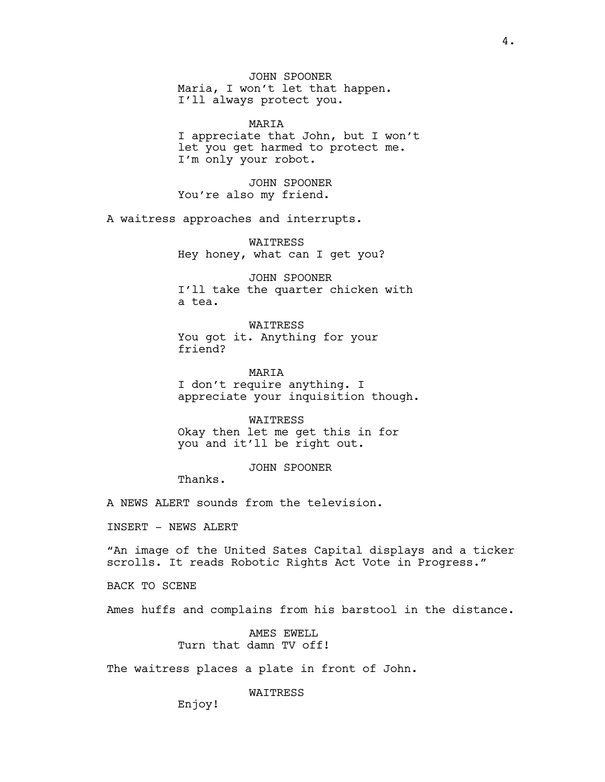JOHN SPOONER Maria, I won't let that happen. I'll always protect you.

MARIA I appreciate that John, but I won't let you get harmed to protect me. I'm only your robot.

JOHN SPOONER You're also my friend.

A waitress approaches and interrupts.

WAITRESS Hey honey, what can I get you?

JOHN SPOONER I'll take the quarter chicken with a tea.

WAITRESS You got it. Anything for your friend?

MARIA I don't require anything. I appreciate your inquisition though.

**WATTRESS** Okay then let me get this in for you and it'll be right out.

JOHN SPOONER

Thanks.

A NEWS ALERT sounds from the television.

INSERT - NEWS ALERT

"An image of the United Sates Capital displays and a ticker scrolls. It reads Robotic Rights Act Vote in Progress."

BACK TO SCENE

Ames huffs and complains from his barstool in the distance.

AMES EWELL Turn that damn TV off!

The waitress places a plate in front of John.

WAITRESS

Enjoy!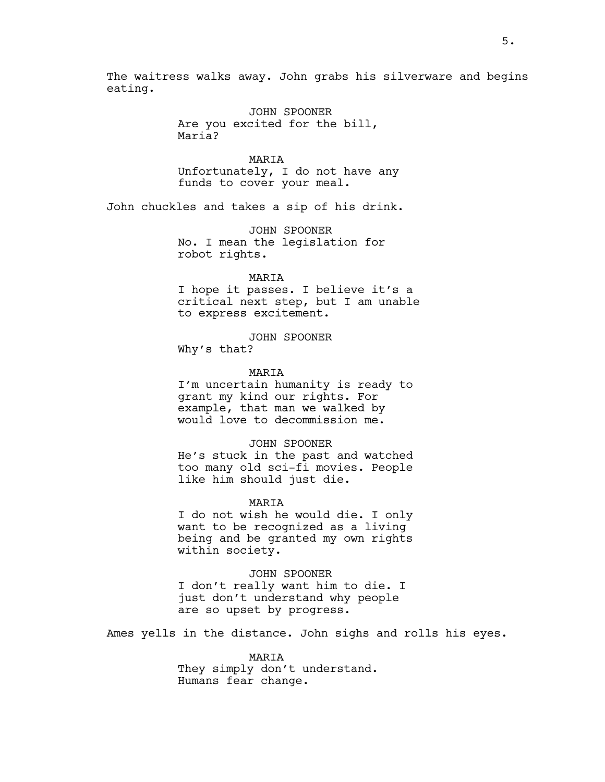The waitress walks away. John grabs his silverware and begins eating.

> JOHN SPOONER Are you excited for the bill, Maria?

MARIA Unfortunately, I do not have any funds to cover your meal.

John chuckles and takes a sip of his drink.

JOHN SPOONER No. I mean the legislation for robot rights.

MARIA

I hope it passes. I believe it's a critical next step, but I am unable to express excitement.

JOHN SPOONER Why's that?

MARIA

I'm uncertain humanity is ready to grant my kind our rights. For example, that man we walked by would love to decommission me.

JOHN SPOONER He's stuck in the past and watched too many old sci-fi movies. People like him should just die.

MARIA

I do not wish he would die. I only want to be recognized as a living being and be granted my own rights within society.

JOHN SPOONER I don't really want him to die. I just don't understand why people are so upset by progress.

Ames yells in the distance. John sighs and rolls his eyes.

MARIA They simply don't understand. Humans fear change.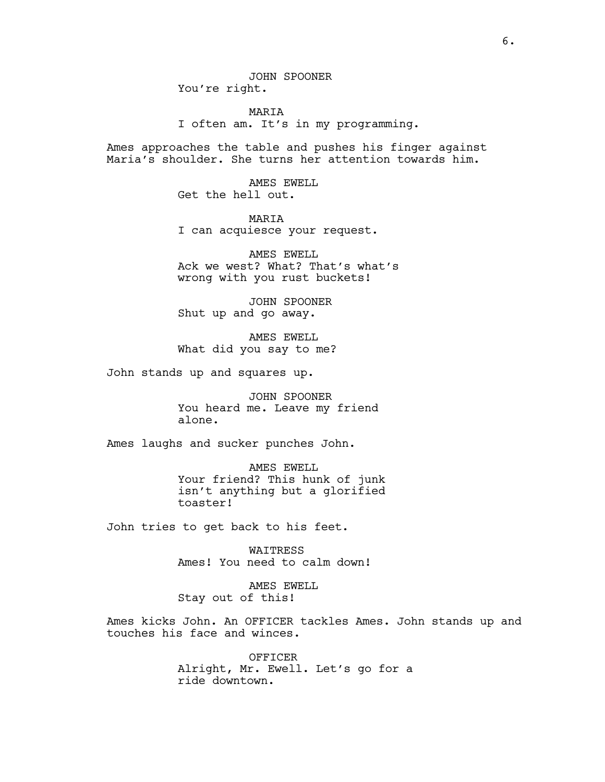MARIA I often am. It's in my programming.

Ames approaches the table and pushes his finger against Maria's shoulder. She turns her attention towards him.

> AMES EWELL Get the hell out.

MARIA I can acquiesce your request.

AMES EWELL Ack we west? What? That's what's wrong with you rust buckets!

JOHN SPOONER Shut up and go away.

AMES EWELL What did you say to me?

John stands up and squares up.

JOHN SPOONER You heard me. Leave my friend alone.

Ames laughs and sucker punches John.

AMES EWELL Your friend? This hunk of junk isn't anything but a glorified toaster!

John tries to get back to his feet.

WAITRESS Ames! You need to calm down!

AMES EWELL Stay out of this!

Ames kicks John. An OFFICER tackles Ames. John stands up and touches his face and winces.

> OFFICER Alright, Mr. Ewell. Let's go for a ride downtown.